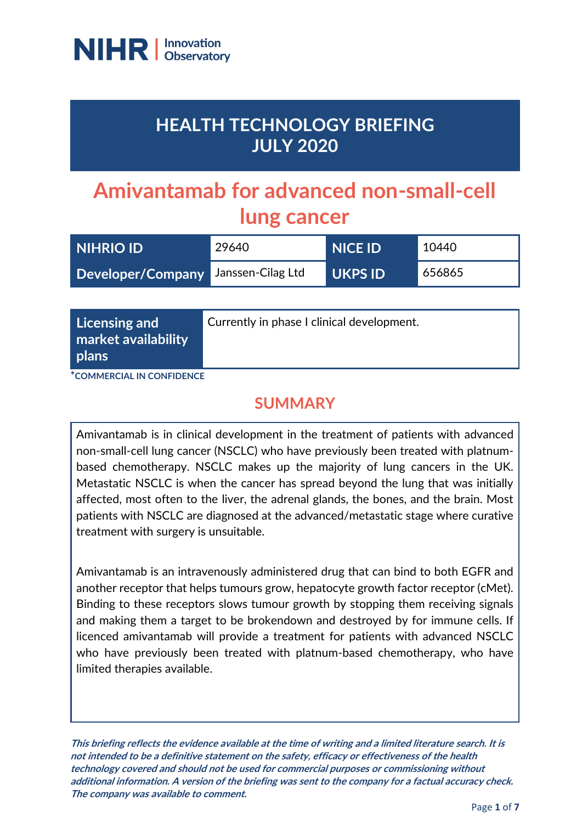

# **HEALTH TECHNOLOGY BRIEFING JULY 2020**

# **Amivantamab for advanced non-small-cell lung cancer**

| <b>NIHRIO ID</b>                    | 29640 | <b>NICE ID</b> | 10440  |
|-------------------------------------|-------|----------------|--------|
| Developer/Company Janssen-Cilag Ltd |       | <b>UKPS ID</b> | 656865 |

| Licensing and<br>market availability<br>plans | Currently in phase I clinical development. |
|-----------------------------------------------|--------------------------------------------|
|-----------------------------------------------|--------------------------------------------|

**\*COMMERCIAL IN CONFIDENCE**

## **SUMMARY**

Amivantamab is in clinical development in the treatment of patients with advanced non-small-cell lung cancer (NSCLC) who have previously been treated with platnumbased chemotherapy. NSCLC makes up the majority of lung cancers in the UK. Metastatic NSCLC is when the cancer has spread beyond the lung that was initially affected, most often to the liver, the adrenal glands, the bones, and the brain. Most patients with NSCLC are diagnosed at the advanced/metastatic stage where curative treatment with surgery is unsuitable.

Amivantamab is an intravenously administered drug that can bind to both EGFR and another receptor that helps tumours grow, hepatocyte growth factor receptor (cMet). Binding to these receptors slows tumour growth by stopping them receiving signals and making them a target to be brokendown and destroyed by for immune cells. If licenced amivantamab will provide a treatment for patients with advanced NSCLC who have previously been treated with platnum-based chemotherapy, who have limited therapies available.

**This briefing reflects the evidence available at the time of writing and a limited literature search. It is not intended to be a definitive statement on the safety, efficacy or effectiveness of the health technology covered and should not be used for commercial purposes or commissioning without additional information. A version of the briefing was sent to the company for a factual accuracy check. The company was available to comment.**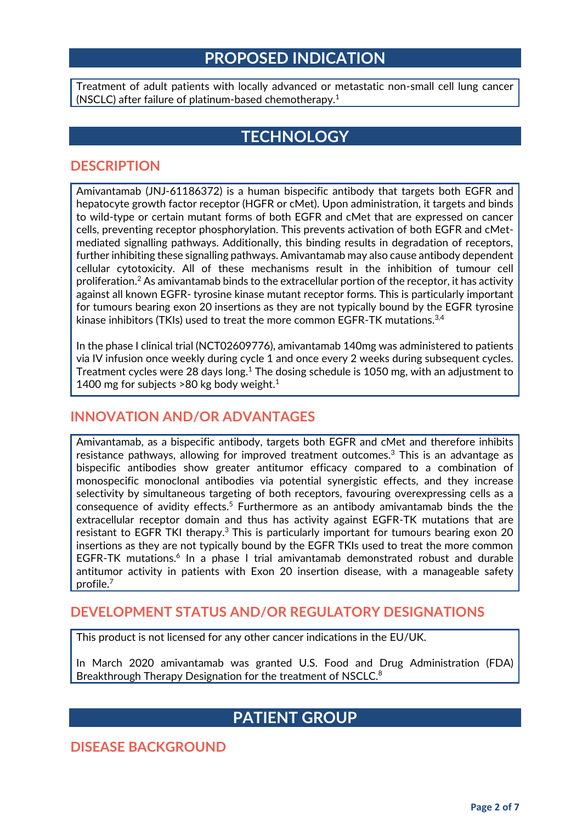### **PROPOSED INDICATION**

Treatment of adult patients with locally advanced or metastatic non-small cell lung cancer (NSCLC) after failure of platinum-based chemotherapy.<sup>1</sup>

# **TECHNOLOGY**

#### **DESCRIPTION**

Amivantamab (JNJ-61186372) is a human bispecific antibody that targets both EGFR and hepatocyte growth factor receptor (HGFR or cMet). Upon administration, it targets and binds to wild-type or certain mutant forms of both EGFR and cMet that are expressed on cancer cells, preventing receptor phosphorylation. This prevents activation of both EGFR and cMetmediated signalling pathways. Additionally, this binding results in degradation of receptors, further inhibiting these signalling pathways. Amivantamab may also cause antibody dependent cellular cytotoxicity. All of these mechanisms result in the inhibition of tumour cell proliferation.<sup>2</sup> As amivantamab binds to the extracellular portion of the receptor, it has activity against all known EGFR- tyrosine kinase mutant receptor forms. This is particularly important for tumours bearing exon 20 insertions as they are not typically bound by the EGFR tyrosine kinase inhibitors (TKIs) used to treat the more common EGFR-TK mutations.<sup>3,4</sup>

In the phase I clinical trial (NCT02609776), amivantamab 140mg was administered to patients via IV infusion once weekly during cycle 1 and once every 2 weeks during subsequent cycles. Treatment cycles were 28 days long.<sup>1</sup> The dosing schedule is 1050 mg, with an adjustment to 1400 mg for subjects  $>80$  kg body weight.<sup>1</sup>

#### **INNOVATION AND/OR ADVANTAGES**

Amivantamab, as a bispecific antibody, targets both EGFR and cMet and therefore inhibits resistance pathways, allowing for improved treatment outcomes.<sup>3</sup> This is an advantage as bispecific antibodies show greater antitumor efficacy compared to a combination of monospecific monoclonal antibodies via potential synergistic effects, and they increase selectivity by simultaneous targeting of both receptors, favouring overexpressing cells as a consequence of avidity effects.<sup>5</sup> Furthermore as an antibody amivantamab binds the the extracellular receptor domain and thus has activity against EGFR-TK mutations that are resistant to EGFR TKI therapy.<sup>3</sup> This is particularly important for tumours bearing exon 20 insertions as they are not typically bound by the EGFR TKIs used to treat the more common EGFR-TK mutations.<sup>6</sup> In a phase I trial amivantamab demonstrated robust and durable antitumor activity in patients with Exon 20 insertion disease, with a manageable safety profile.<sup>7</sup>

#### **DEVELOPMENT STATUS AND/OR REGULATORY DESIGNATIONS**

This product is not licensed for any other cancer indications in the EU/UK.

In March 2020 amivantamab was granted U.S. Food and Drug Administration (FDA) Breakthrough Therapy Designation for the treatment of NSCLC.<sup>8</sup>

## **PATIENT GROUP**

**DISEASE BACKGROUND**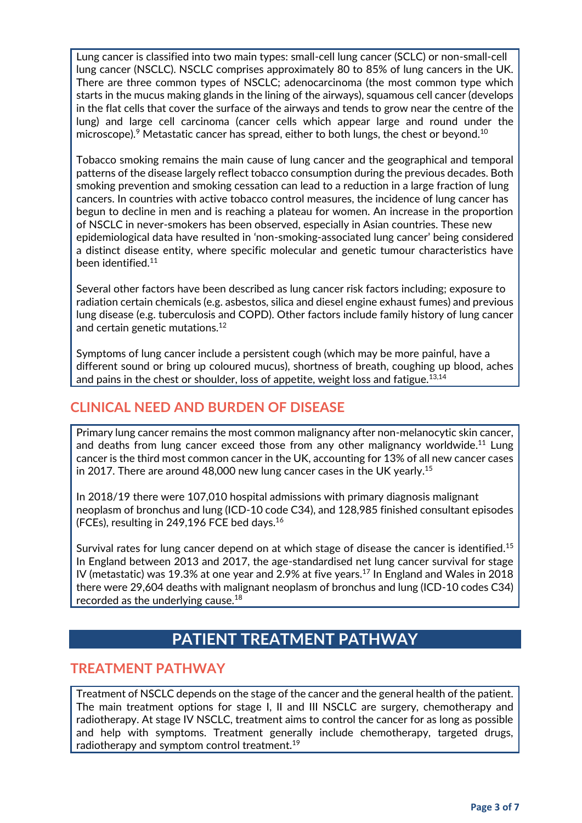Lung cancer is classified into two main types: small-cell lung cancer (SCLC) or non-small-cell lung cancer (NSCLC). NSCLC comprises approximately 80 to 85% of lung cancers in the UK. There are three common types of NSCLC; adenocarcinoma (the most common type which starts in the mucus making glands in the lining of the airways), squamous cell cancer (develops in the flat cells that cover the surface of the airways and tends to grow near the centre of the lung) and large cell carcinoma (cancer cells which appear large and round under the microscope).<sup>9</sup> Metastatic cancer has spread, either to both lungs, the chest or beyond.<sup>10</sup>

Tobacco smoking remains the main cause of lung cancer and the geographical and temporal patterns of the disease largely reflect tobacco consumption during the previous decades. Both smoking prevention and smoking cessation can lead to a reduction in a large fraction of lung cancers. In countries with active tobacco control measures, the incidence of lung cancer has begun to decline in men and is reaching a plateau for women. An increase in the proportion of NSCLC in never-smokers has been observed, especially in Asian countries. These new epidemiological data have resulted in 'non-smoking-associated lung cancer' being considered a distinct disease entity, where specific molecular and genetic tumour characteristics have been identified.<sup>11</sup>

Several other factors have been described as lung cancer risk factors including; exposure to radiation certain chemicals (e.g. asbestos, silica and diesel engine exhaust fumes) and previous lung disease (e.g. tuberculosis and COPD). Other factors include family history of lung cancer and certain genetic mutations.<sup>12</sup>

Symptoms of lung cancer include a persistent cough (which may be more painful, have a different sound or bring up coloured mucus), shortness of breath, coughing up blood, aches and pains in the chest or shoulder, loss of appetite, weight loss and fatigue. $13,14$ 

#### **CLINICAL NEED AND BURDEN OF DISEASE**

Primary lung cancer remains the most common malignancy after non-melanocytic skin cancer, and deaths from lung cancer exceed those from any other malignancy worldwide.<sup>11</sup> Lung cancer is the third most common cancer in the UK, accounting for 13% of all new cancer cases in 2017. There are around 48,000 new lung cancer cases in the UK yearly. $^{15}$ 

In 2018/19 there were 107,010 hospital admissions with primary diagnosis malignant neoplasm of bronchus and lung (ICD-10 code C34), and 128,985 finished consultant episodes (FCEs), resulting in 249,196 FCE bed days.<sup>16</sup>

Survival rates for lung cancer depend on at which stage of disease the cancer is identified.<sup>15</sup> In England between 2013 and 2017, the age-standardised net lung cancer survival for stage IV (metastatic) was 19.3% at one year and 2.9% at five years.<sup>17</sup> In England and Wales in 2018 there were 29,604 deaths with malignant neoplasm of bronchus and lung (ICD-10 codes C34) recorded as the underlying cause.<sup>18</sup>

# **PATIENT TREATMENT PATHWAY**

#### **TREATMENT PATHWAY**

Treatment of NSCLC depends on the stage of the cancer and the general health of the patient. The main treatment options for stage I, II and III NSCLC are surgery, chemotherapy and radiotherapy. At stage IV NSCLC, treatment aims to control the cancer for as long as possible and help with symptoms. Treatment generally include chemotherapy, targeted drugs, radiotherapy and symptom control treatment.<sup>19</sup>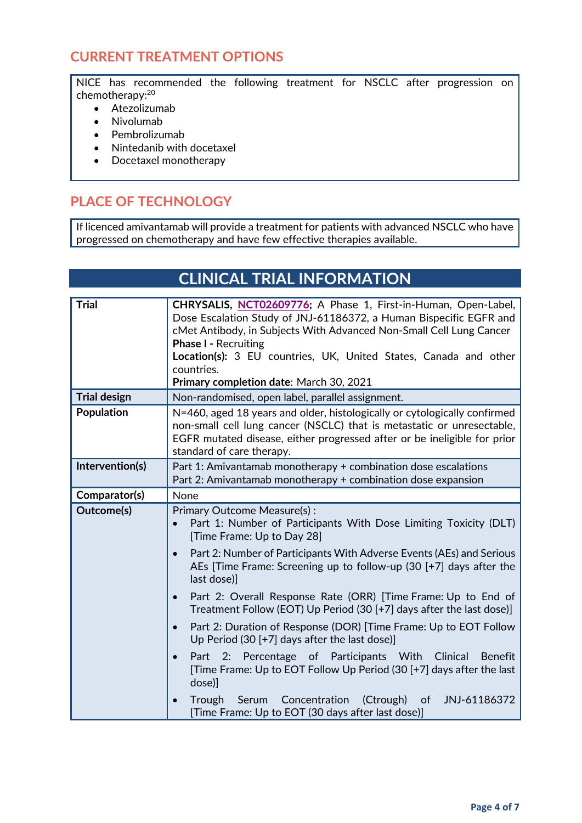#### **CURRENT TREATMENT OPTIONS**

NICE has recommended the following treatment for NSCLC after progression on chemotherapy: 20

- Atezolizumab
- Nivolumab
- Pembrolizumab
- Nintedanib with docetaxel
- Docetaxel monotherapy

#### **PLACE OF TECHNOLOGY**

If licenced amivantamab will provide a treatment for patients with advanced NSCLC who have progressed on chemotherapy and have few effective therapies available.

# **CLINICAL TRIAL INFORMATION**

| <b>Trial</b>        | CHRYSALIS, NCT02609776; A Phase 1, First-in-Human, Open-Label,<br>Dose Escalation Study of JNJ-61186372, a Human Bispecific EGFR and<br>cMet Antibody, in Subjects With Advanced Non-Small Cell Lung Cancer<br><b>Phase I - Recruiting</b><br>Location(s): 3 EU countries, UK, United States, Canada and other<br>countries.<br>Primary completion date: March 30, 2021                                                                           |
|---------------------|---------------------------------------------------------------------------------------------------------------------------------------------------------------------------------------------------------------------------------------------------------------------------------------------------------------------------------------------------------------------------------------------------------------------------------------------------|
| <b>Trial design</b> | Non-randomised, open label, parallel assignment.                                                                                                                                                                                                                                                                                                                                                                                                  |
| <b>Population</b>   | N=460, aged 18 years and older, histologically or cytologically confirmed<br>non-small cell lung cancer (NSCLC) that is metastatic or unresectable,<br>EGFR mutated disease, either progressed after or be ineligible for prior<br>standard of care therapy.                                                                                                                                                                                      |
| Intervention(s)     | Part 1: Amivantamab monotherapy + combination dose escalations<br>Part 2: Amivantamab monotherapy + combination dose expansion                                                                                                                                                                                                                                                                                                                    |
| Comparator(s)       | None                                                                                                                                                                                                                                                                                                                                                                                                                                              |
| Outcome(s)          | Primary Outcome Measure(s):<br>Part 1: Number of Participants With Dose Limiting Toxicity (DLT)<br>$\bullet$<br>[Time Frame: Up to Day 28]<br>Part 2: Number of Participants With Adverse Events (AEs) and Serious<br>$\bullet$<br>AEs [Time Frame: Screening up to follow-up $(30 + 7)$ days after the<br>last dose)]                                                                                                                            |
|                     | Part 2: Overall Response Rate (ORR) [Time Frame: Up to End of<br>$\bullet$<br>Treatment Follow (EOT) Up Period (30 [+7] days after the last dose)]<br>Part 2: Duration of Response (DOR) [Time Frame: Up to EOT Follow<br>$\bullet$<br>Up Period $(30 + 7)$ days after the last dose)]<br>Part 2: Percentage of Participants With Clinical<br><b>Benefit</b><br>$\bullet$<br>[Time Frame: Up to EOT Follow Up Period (30 [+7] days after the last |
|                     | dose)]<br>Concentration<br>(Ctrough)<br>JNJ-61186372<br>Trough<br>Serum<br>of<br>$\bullet$<br>[Time Frame: Up to EOT (30 days after last dose)]                                                                                                                                                                                                                                                                                                   |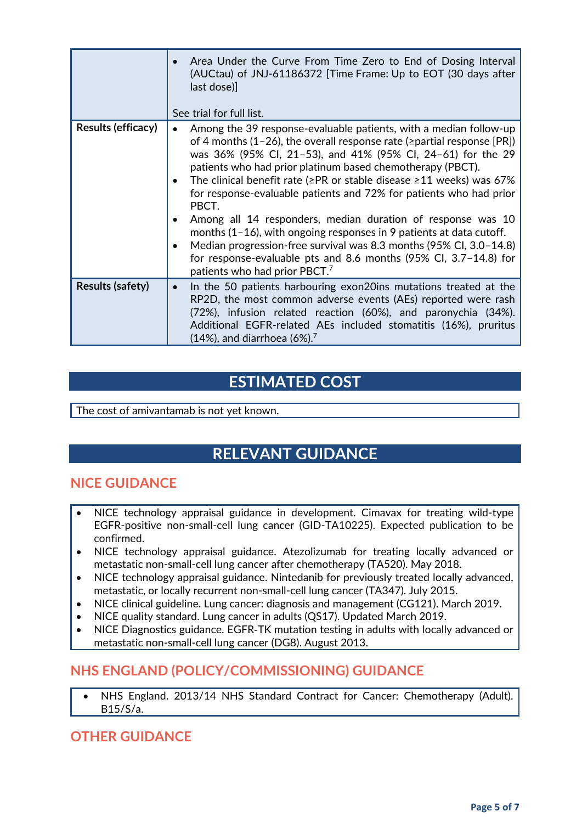|                           | Area Under the Curve From Time Zero to End of Dosing Interval<br>$\bullet$<br>(AUCtau) of JNJ-61186372 [Time Frame: Up to EOT (30 days after<br>last dose)]<br>See trial for full list.                                                                                                                                                                                                                                                                                                                                                                                                                                                                                                                                                                                           |
|---------------------------|-----------------------------------------------------------------------------------------------------------------------------------------------------------------------------------------------------------------------------------------------------------------------------------------------------------------------------------------------------------------------------------------------------------------------------------------------------------------------------------------------------------------------------------------------------------------------------------------------------------------------------------------------------------------------------------------------------------------------------------------------------------------------------------|
| <b>Results (efficacy)</b> | Among the 39 response-evaluable patients, with a median follow-up<br>of 4 months (1-26), the overall response rate ( $\ge$ partial response [PR])<br>was 36% (95% Cl, 21-53), and 41% (95% Cl, 24-61) for the 29<br>patients who had prior platinum based chemotherapy (PBCT).<br>The clinical benefit rate ( $\geq$ PR or stable disease $\geq$ 11 weeks) was 67%<br>for response-evaluable patients and 72% for patients who had prior<br>PBCT.<br>Among all 14 responders, median duration of response was 10<br>months $(1-16)$ , with ongoing responses in 9 patients at data cutoff.<br>Median progression-free survival was 8.3 months (95% CI, 3.0-14.8)<br>for response-evaluable pts and 8.6 months (95% Cl, 3.7-14.8) for<br>patients who had prior PBCT. <sup>7</sup> |
| <b>Results (safety)</b>   | In the 50 patients harbouring exon20ins mutations treated at the<br>$\bullet$<br>RP2D, the most common adverse events (AEs) reported were rash<br>(72%), infusion related reaction (60%), and paronychia (34%).<br>Additional EGFR-related AEs included stomatitis (16%), pruritus<br>$(14%)$ , and diarrhoea $(6%)$ . <sup>7</sup>                                                                                                                                                                                                                                                                                                                                                                                                                                               |

# **ESTIMATED COST**

The cost of amivantamab is not yet known.

# **RELEVANT GUIDANCE**

#### **NICE GUIDANCE**

- NICE technology appraisal guidance in development. Cimavax for treating wild-type EGFR-positive non-small-cell lung cancer (GID-TA10225). Expected publication to be confirmed.
- NICE technology appraisal guidance. Atezolizumab for treating locally advanced or metastatic non-small-cell lung cancer after chemotherapy (TA520). May 2018.
- NICE technology appraisal guidance. Nintedanib for previously treated locally advanced, metastatic, or locally recurrent non-small-cell lung cancer (TA347). July 2015.
- NICE clinical guideline. Lung cancer: diagnosis and management (CG121). March 2019.
- NICE quality standard. Lung cancer in adults (QS17). Updated March 2019.
- NICE Diagnostics guidance. EGFR‑TK mutation testing in adults with locally advanced or metastatic non-small-cell lung cancer (DG8). August 2013.

#### **NHS ENGLAND (POLICY/COMMISSIONING) GUIDANCE**

• NHS England. 2013/14 NHS Standard Contract for Cancer: Chemotherapy (Adult). B15/S/a.

#### **OTHER GUIDANCE**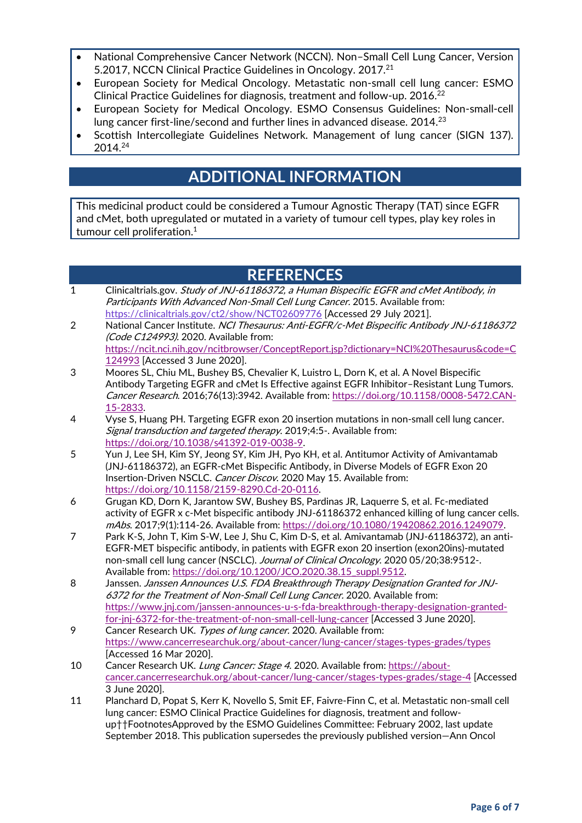- National Comprehensive Cancer Network (NCCN). Non–Small Cell Lung Cancer, Version 5.2017, NCCN Clinical Practice Guidelines in Oncology. 2017.<sup>21</sup>
- European Society for Medical Oncology. Metastatic non-small cell lung cancer: ESMO Clinical Practice Guidelines for diagnosis, treatment and follow-up. 2016.<sup>22</sup>
- European Society for Medical Oncology. ESMO Consensus Guidelines: Non-small-cell lung cancer first-line/second and further lines in advanced disease. 2014.<sup>23</sup>
- Scottish Intercollegiate Guidelines Network. Management of lung cancer (SIGN 137). 2014.<sup>24</sup>

# **ADDITIONAL INFORMATION**

This medicinal product could be considered a Tumour Agnostic Therapy (TAT) since EGFR and cMet, both upregulated or mutated in a variety of tumour cell types, play key roles in tumour cell proliferation.<sup>1</sup>

# **REFERENCES**

- 1 Clinicaltrials.gov. Study of JNJ-61186372, a Human Bispecific EGFR and cMet Antibody, in Participants With Advanced Non-Small Cell Lung Cancer. 2015. Available from: <https://clinicaltrials.gov/ct2/show/NCT02609776> [Accessed 29 July 2021].
- 2 National Cancer Institute. NCI Thesaurus: Anti-EGFR/c-Met Bispecific Antibody JNJ-61186372 (Code C124993). 2020. Available from: [https://ncit.nci.nih.gov/ncitbrowser/ConceptReport.jsp?dictionary=NCI%20Thesaurus&code=C](https://ncit.nci.nih.gov/ncitbrowser/ConceptReport.jsp?dictionary=NCI%20Thesaurus&code=C124993) [124993](https://ncit.nci.nih.gov/ncitbrowser/ConceptReport.jsp?dictionary=NCI%20Thesaurus&code=C124993) [Accessed 3 June 2020].
- 3 Moores SL, Chiu ML, Bushey BS, Chevalier K, Luistro L, Dorn K, et al. A Novel Bispecific Antibody Targeting EGFR and cMet Is Effective against EGFR Inhibitor–Resistant Lung Tumors. Cancer Research. 2016;76(13):3942. Available from: [https://doi.org/10.1158/0008-5472.CAN-](https://doi.org/10.1158/0008-5472.CAN-15-2833)[15-2833.](https://doi.org/10.1158/0008-5472.CAN-15-2833)
- 4 Vyse S, Huang PH. Targeting EGFR exon 20 insertion mutations in non-small cell lung cancer. Signal transduction and targeted therapy. 2019;4:5-. Available from: [https://doi.org/10.1038/s41392-019-0038-9.](https://doi.org/10.1038/s41392-019-0038-9)
- 5 Yun J, Lee SH, Kim SY, Jeong SY, Kim JH, Pyo KH, et al. Antitumor Activity of Amivantamab (JNJ-61186372), an EGFR-cMet Bispecific Antibody, in Diverse Models of EGFR Exon 20 Insertion-Driven NSCLC. Cancer Discov. 2020 May 15. Available from: [https://doi.org/10.1158/2159-8290.Cd-20-0116.](https://doi.org/10.1158/2159-8290.Cd-20-0116)
- 6 Grugan KD, Dorn K, Jarantow SW, Bushey BS, Pardinas JR, Laquerre S, et al. Fc-mediated activity of EGFR x c-Met bispecific antibody JNJ-61186372 enhanced killing of lung cancer cells. mAbs. 2017;9(1):114-26. Available from: [https://doi.org/10.1080/19420862.2016.1249079.](https://doi.org/10.1080/19420862.2016.1249079)
- 7 Park K-S, John T, Kim S-W, Lee J, Shu C, Kim D-S, et al. Amivantamab (JNJ-61186372), an anti-EGFR-MET bispecific antibody, in patients with EGFR exon 20 insertion (exon20ins)-mutated non-small cell lung cancer (NSCLC). Journal of Clinical Oncology. 2020 05/20;38:9512-. Available from[: https://doi.org/10.1200/JCO.2020.38.15\\_suppl.9512.](https://doi.org/10.1200/JCO.2020.38.15_suppl.9512)
- 8 Janssen. Janssen Announces U.S. FDA Breakthrough Therapy Designation Granted for JNJ-6372 for the Treatment of Non-Small Cell Lung Cancer. 2020. Available from: [https://www.jnj.com/janssen-announces-u-s-fda-breakthrough-therapy-designation-granted](https://www.jnj.com/janssen-announces-u-s-fda-breakthrough-therapy-designation-granted-for-jnj-6372-for-the-treatment-of-non-small-cell-lung-cancer)[for-jnj-6372-for-the-treatment-of-non-small-cell-lung-cancer](https://www.jnj.com/janssen-announces-u-s-fda-breakthrough-therapy-designation-granted-for-jnj-6372-for-the-treatment-of-non-small-cell-lung-cancer) [Accessed 3 June 2020].
- 9 Cancer Research UK. Types of lung cancer. 2020. Available from: <https://www.cancerresearchuk.org/about-cancer/lung-cancer/stages-types-grades/types> [Accessed 16 Mar 2020].
- 10 Cancer Research UK. Lung Cancer: Stage 4. 2020. Available from: [https://about](https://about-cancer.cancerresearchuk.org/about-cancer/lung-cancer/stages-types-grades/stage-4)[cancer.cancerresearchuk.org/about-cancer/lung-cancer/stages-types-grades/stage-4](https://about-cancer.cancerresearchuk.org/about-cancer/lung-cancer/stages-types-grades/stage-4) [Accessed 3 June 2020].
- 11 Planchard D, Popat S, Kerr K, Novello S, Smit EF, Faivre-Finn C, et al. Metastatic non-small cell lung cancer: ESMO Clinical Practice Guidelines for diagnosis, treatment and followup††FootnotesApproved by the ESMO Guidelines Committee: February 2002, last update September 2018. This publication supersedes the previously published version—Ann Oncol